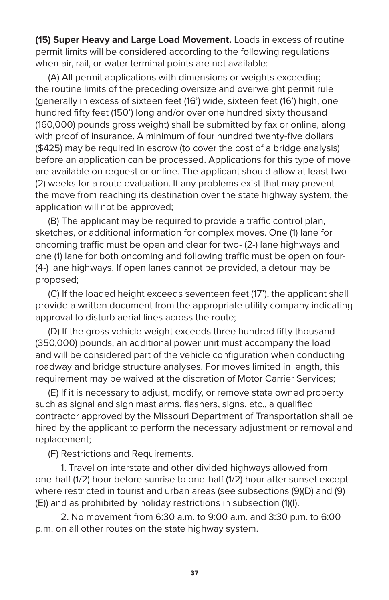**(15) Super Heavy and Large Load Movement.** Loads in excess of routine permit limits will be considered according to the following regulations when air, rail, or water terminal points are not available:

(A) All permit applications with dimensions or weights exceeding the routine limits of the preceding oversize and overweight permit rule (generally in excess of sixteen feet (16') wide, sixteen feet (16') high, one hundred fifty feet (150') long and/or over one hundred sixty thousand (160,000) pounds gross weight) shall be submitted by fax or online, along with proof of insurance. A minimum of four hundred twenty-five dollars (\$425) may be required in escrow (to cover the cost of a bridge analysis) before an application can be processed. Applications for this type of move are available on request or online. The applicant should allow at least two (2) weeks for a route evaluation. If any problems exist that may prevent the move from reaching its destination over the state highway system, the application will not be approved;

(B) The applicant may be required to provide a traffic control plan, sketches, or additional information for complex moves. One (1) lane for oncoming traffic must be open and clear for two- (2-) lane highways and one (1) lane for both oncoming and following traffic must be open on four- (4-) lane highways. If open lanes cannot be provided, a detour may be proposed;

(C) If the loaded height exceeds seventeen feet (17'), the applicant shall provide a written document from the appropriate utility company indicating approval to disturb aerial lines across the route;

(D) If the gross vehicle weight exceeds three hundred fifty thousand (350,000) pounds, an additional power unit must accompany the load and will be considered part of the vehicle configuration when conducting roadway and bridge structure analyses. For moves limited in length, this requirement may be waived at the discretion of Motor Carrier Services;

(E) If it is necessary to adjust, modify, or remove state owned property such as signal and sign mast arms, flashers, signs, etc., a qualified contractor approved by the Missouri Department of Transportation shall be hired by the applicant to perform the necessary adjustment or removal and replacement;

(F) Restrictions and Requirements.

1. Travel on interstate and other divided highways allowed from one-half (1/2) hour before sunrise to one-half (1/2) hour after sunset except where restricted in tourist and urban areas (see subsections (9)(D) and (9) (E)) and as prohibited by holiday restrictions in subsection (1)(I).

2. No movement from 6:30 a.m. to 9:00 a.m. and 3:30 p.m. to 6:00 p.m. on all other routes on the state highway system.